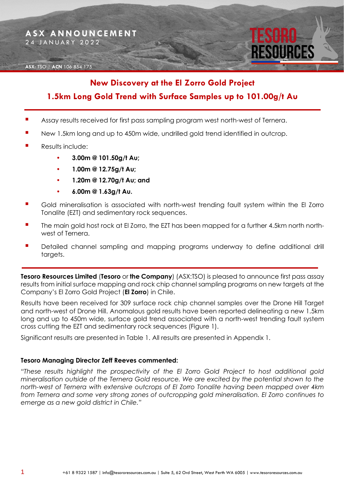#### **ASX:** TSO | **ACN** 106 854 175

# **New Discovery at the El Zorro Gold Project**

# **1.5km Long Gold Trend with Surface Samples up to 101.00g/t Au**

- Assay results received for first pass sampling program west north-west of Ternera.
- New 1.5km long and up to 450m wide, undrilled gold trend identified in outcrop.
- Results include:
	- **3.00m @ 101.50g/t Au;**
	- **1.00m @ 12.75g/t Au;**
	- **1.20m @ 12.70g/t Au; and**
	- **6.00m @ 1.63g/t Au.**
- Gold mineralisation is associated with north-west trending fault system within the El Zorro Tonalite (EZT) and sedimentary rock sequences.
- The main gold host rock at El Zorro, the EZT has been mapped for a further 4.5km north northwest of Ternera.
- Detailed channel sampling and mapping programs underway to define additional drill targets.

**Tesoro Resources Limited** (**Tesoro** or **the Company**) (ASX:TSO) is pleased to announce first pass assay results from initial surface mapping and rock chip channel sampling programs on new targets at the Company's El Zorro Gold Project (**El Zorro**) in Chile.

Results have been received for 309 surface rock chip channel samples over the Drone Hill Target and north-west of Drone Hill. Anomalous gold results have been reported delineating a new 1.5km long and up to 450m wide, surface gold trend associated with a north-west trending fault system cross cutting the EZT and sedimentary rock sequences (Figure 1).

Significant results are presented in Table 1. All results are presented in Appendix 1.

#### **Tesoro Managing Director Zeff Reeves commented:**

*"These results highlight the prospectivity of the El Zorro Gold Project to host additional gold mineralisation outside of the Ternera Gold resource. We are excited by the potential shown to the north-west of Ternera with extensive outcrops of El Zorro Tonalite having been mapped over 4km from Ternera and some very strong zones of outcropping gold mineralisation. El Zorro continues to emerge as a new gold district in Chile."*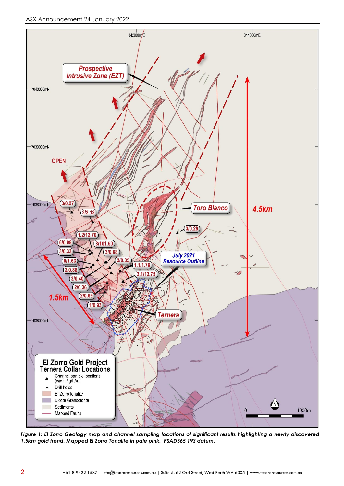

*Figure 1: El Zorro Geology map and channel sampling locations of significant results highlighting a newly discovered 1.5km gold trend. Mapped El Zorro Tonalite in pale pink. PSAD565 19S datum.*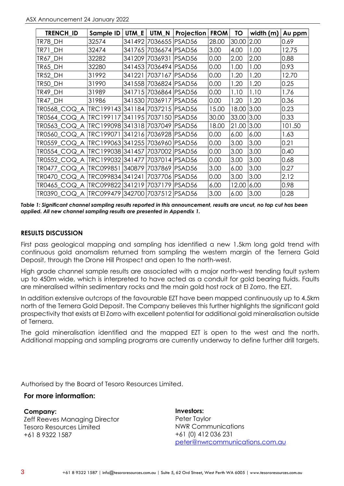| TRENCH_ID                                           | Sample ID                       | UTM_E  | UTM_N                 | <b>Projection</b> | <b>FROM</b> | TO         | width (m) | Au ppm |
|-----------------------------------------------------|---------------------------------|--------|-----------------------|-------------------|-------------|------------|-----------|--------|
| TR78_DH                                             | 32574                           |        | 341492 7036655 PSAD56 |                   | 28.00       | 30.00      | 2.00      | 0.69   |
| TR71 DH                                             | 32474                           | 341765 | 7036674   PSAD56      |                   | 3.00        | 4.00       | 1.00      | 12.75  |
| TR67 DH                                             | 32282                           |        | 341209 7036931 PSAD56 |                   | 0.00        | 2.00       | 2.00      | 0.88   |
| <b>TR65_DH</b>                                      | 32280                           |        | 341453 7036494 PSAD56 |                   | 0.00        | 1.00       | 1.00      | 0.93   |
| <b>TR52_DH</b>                                      | 31992                           | 341221 | 7037167 PSAD56        |                   | 0.00        | 1.20       | 1.20      | 12.70  |
| TR50 DH                                             | 31990                           |        | 341558 7036824 PSAD56 |                   | 0.00        | 1.20       | 1.20      | 0.25   |
| TR49_DH                                             | 31989                           | 341715 | 7036864 PSAD56        |                   | 0.00        | 1.10       | 1.10      | 1.76   |
| TR47 DH                                             | 31986                           | 341530 | 7036917   PSAD56      |                   | 0.00        | 1.20       | 1.20      | 0.36   |
| TR0568_COQ_A                                        | TRC199143 341184 7037215 PSAD56 |        |                       |                   | 15.00       | 18.00      | 3.00      | 0.23   |
| tro564 COQ A                                        | TRC199117                       |        | 341195 7037150 PSAD56 |                   | 30.00       | 33.00 3.00 |           | 0.33   |
| TR0563_COQ_A  TRC199098 341318 7037049  PSAD56      |                                 |        |                       |                   | 18.00       | 21.00      | 3.00      | 101.50 |
| TR0560_COQ_A  TRC199071                             |                                 | 341216 | 7036928 PSAD56        |                   | 0.00        | 6.00       | 6.00      | 1.63   |
| TR0559_COQ_A  TRC199063 341255 7036960 PSAD56       |                                 |        |                       |                   | 0.00        | 3.00       | 3.00      | 0.21   |
| TR0554_COQ_A  TRC199038 341457 7037002 PSAD56       |                                 |        |                       |                   | 0.00        | 3.00       | 3.00      | 0.40   |
| TR0552 COQ A TRC199032 341477                       |                                 |        | 7037014 PSAD56        |                   | 0.00        | 3.00       | 3.00      | 0.68   |
| TR0477_COQ_A  TRC099851  340879  7037869  PSAD56    |                                 |        |                       |                   | 3.00        | 6.00       | 3.00      | 0.27   |
| TR0470 COQ A  TRC099834   341241                    |                                 |        | 7037706 PSAD56        |                   | 0.00        | 3.00       | 3.00      | 2.12   |
| tr0465 COQ A                                        | TRC099822 341219                |        | 7037179               | PSAD56            | 6.00        | 12.00      | 6.00      | 0.98   |
| TR0390_COQ_A  TRC099479   342700   7037512   PSAD56 |                                 |        |                       |                   | 3.00        | 6.00       | 3.00      | 0.28   |

*Table 1: Significant channel sampling results reported in this announcement, results are uncut, no top cut has been applied. All new channel sampling results are presented in Appendix 1.*

#### **RESULTS DISCUSSION**

First pass geological mapping and sampling has identified a new 1.5km long gold trend with continuous gold anomalism returned from sampling the western margin of the Ternera Gold Deposit, through the Drone Hill Prospect and open to the north-west.

High grade channel sample results are associated with a major north-west trending fault system up to 450m wide, which is interpreted to have acted as a conduit for gold bearing fluids. Faults are mineralised within sedimentary rocks and the main gold host rock at El Zorro, the EZT.

In addition extensive outcrops of the favourable EZT have been mapped continuously up to 4.5km north of the Ternera Gold Deposit. The Company believes this further highlights the significant gold prospectivity that exists at El Zorro with excellent potential for additional gold mineralisation outside of Ternera.

The gold mineralisation identified and the mapped EZT is open to the west and the north. Additional mapping and sampling programs are currently underway to define further drill targets.

Authorised by the Board of Tesoro Resources Limited.

### **For more information:**

#### **Company:**

Zeff Reeves Managing Director Tesoro Resources Limited +61 8 9322 1587

**Investors:** Peter Taylor NWR Communications +61 (0) 412 036 231 [peter@nwrcommunications.com.au](mailto:peter@nwrcommunications.com.au)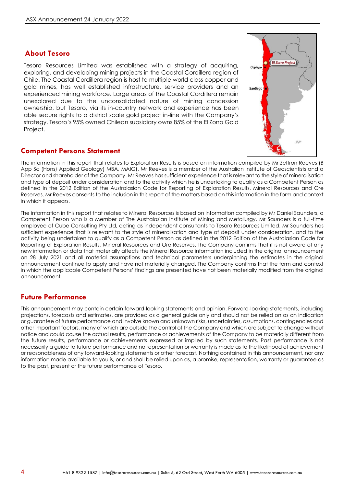## **About Tesoro**

Tesoro Resources Limited was established with a strategy of acquiring, exploring, and developing mining projects in the Coastal Cordillera region of Chile. The Coastal Cordillera region is host to multiple world class copper and gold mines, has well established infrastructure, service providers and an experienced mining workforce. Large areas of the Coastal Cordillera remain unexplored due to the unconsolidated nature of mining concession ownership, but Tesoro, via its in-country network and experience has been able secure rights to a district scale gold project in-line with the Company's strategy. Tesoro's 95% owned Chilean subsidiary owns 85% of the El Zorro Gold Project.

## **Competent Persons Statement**

The information in this report that relates to Exploration Results is based on information compiled by Mr Zeffron Reeves (B App Sc (Hons) Applied Geology) MBA, MAIG). Mr Reeves is a member of the Australian Institute of Geoscientists and a Director and shareholder of the Company. Mr Reeves has sufficient experience that is relevant to the style of mineralisation and type of deposit under consideration and to the activity which he is undertaking to qualify as a Competent Person as defined in the 2012 Edition of the Australasian Code for Reporting of Exploration Results, Mineral Resources and Ore Reserves. Mr Reeves consents to the inclusion in this report of the matters based on this information in the form and context in which it appears.

The information in this report that relates to Mineral Resources is based on information compiled by Mr Daniel Saunders, a Competent Person who is a Member of The Australasian Institute of Mining and Metallurgy. Mr Saunders is a full-time employee of Cube Consulting Pty Ltd, acting as independent consultants to Tesoro Resources Limited. Mr Saunders has sufficient experience that is relevant to the style of mineralisation and type of deposit under consideration, and to the activity being undertaken to qualify as a Competent Person as defined in the 2012 Edition of the Australasian Code for Reporting of Exploration Results, Mineral Resources and Ore Reserves. The Company confirms that it is not aware of any new information or data that materially affects the Mineral Resource information included in the original announcement on 28 July 2021 and all material assumptions and technical parameters underpinning the estimates in the original announcement continue to apply and have not materially changed. The Company confirms that the form and context in which the applicable Competent Persons' findings are presented have not been materially modified from the original announcement.

## **Future Performance**

This announcement may contain certain forward-looking statements and opinion. Forward-looking statements, including projections, forecasts and estimates, are provided as a general guide only and should not be relied on as an indication or guarantee of future performance and involve known and unknown risks, uncertainties, assumptions, contingencies and other important factors, many of which are outside the control of the Company and which are subject to change without notice and could cause the actual results, performance or achievements of the Company to be materially different from the future results, performance or achievements expressed or implied by such statements. Past performance is not necessarily a guide to future performance and no representation or warranty is made as to the likelihood of achievement or reasonableness of any forward-looking statements or other forecast. Nothing contained in this announcement, nor any information made available to you is, or and shall be relied upon as, a promise, representation, warranty or guarantee as to the past, present or the future performance of Tesoro.

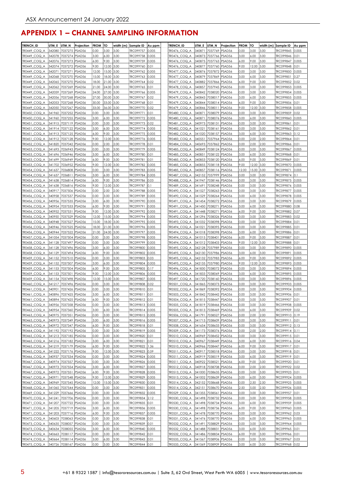# **APPENDIX 1 – CHANNEL SAMPLING INFORMATION**

| TRENCH_ID                       | UTM E            | UTM_N                                          | Projection       | <b>FROM</b>   | ΙЮ             | width (m)    | Sample ID              | Au ppm         | <b>TRENCH ID</b>                 | UTM E            | UTM_N                                          | Projection       | <b>FROM</b>  | TO            | width (m) Sample ID |                        | Au ppm         |
|---------------------------------|------------------|------------------------------------------------|------------------|---------------|----------------|--------------|------------------------|----------------|----------------------------------|------------------|------------------------------------------------|------------------|--------------|---------------|---------------------|------------------------|----------------|
| TR0449 COQ A                    | 342080           | 7037275                                        | PSAD56           | 0.00          | 3.00           | 3.00         | TRC099757              | 0.005          | TR0476 COQ A                     | 340871           | 7037769                                        | PSAD56           | 0.00         | 3.00          | 3.00                | TRC099845              | 0.005          |
| TR0449 COQ A                    | 342078           | 7037274 PSAD56                                 |                  | 3.00          | 6.00           | 3.00         | TRC099758              | 0.005          | TR0476 COQ A                     | 340873           | 7037766                                        | PSAD56           | 3.00         | 6.00          | 3.00                | TRC099846              | 0.01           |
| TR0449 COQ A                    | 342076           | 7037273 PSAD56                                 |                  | 6.00          | 9.00           | 3.00         | TRC099759              | 0.005          | TR0476 COQ A                     | 340875           | 7037763                                        | PSAD56           | 6.00         | 9.00          | 3.00                | TRC099847              | 0.005          |
| TR0449 COQ A                    | 342074           | 7037272 PSAD56<br>7037271                      |                  | 9.00          | 12.00          | 3.00         | TRC099760<br>TRC099762 | 0.01           | TR0476 COQ A                     | 340877           | 7037760                                        | PSAD56           | 9.00         | 12.00         | 3.00                | TRC099848              | 0.01           |
| TR0449 COQ A<br>TR0449 COQ A    | 342071<br>342068 | 7037270 PSAD56                                 | PSAD56           | 12.00<br>5.00 | 15.00<br>18.00 | 3.00<br>3.00 | TRC099763              | 0.005<br>0.005 | TR0477 COQ A<br>TR0477 COQ A     | 340876<br>340879 | 7037872<br>7037869                             | PSAD56<br>PSAD56 | 0.00<br>3.00 | 3.00<br>6.00  | 3.00<br>3.00        | TRC099850<br>TRC099851 | 0.005<br>0.27  |
| TR0449 COQ A                    | 342065           | 7037270 PSAD56                                 |                  | 8.00          | 21.00          | 3.00         | TRC099764              | 0.02           | <b>TR0477 COQ A</b>              | 340882           | 7037866                                        | PSAD56           | 6.00         | 9.00          | 3.00                | TRC099852              | 0.02           |
| TR0449 COQ A                    | 342062           | 7037269                                        | PSAD56           | 21.00         | 24.00          | 3.00         | TRC099765              | 0.01           | TR0478 COQ A                     | 340857           | 7037945                                        | PSAD56           | 0.00         | 3.00          | 3.00                | TRC099853              | 0.005          |
| TR0449 COQ A                    | 342059           | 7037269                                        | PSAD56           | 24.00         | 27.00          | 3.00         | TRC099766              | 0.005          | TR0479 COQ A                     | 340842           | 7038020                                        | PSAD56           | 0.00         | 3.00          | 3.00                | TRC099854              | 0.005          |
| TR0449_COQ_A                    | 342056           | 7037268                                        | PSAD56           | 27.00         | 30.00          | 3.00         | TRC099767              | 0.02           | TR0479_COQ_A                     | 340843           | 7038017                                        | PSAD56           | 3.00         | 6.00          | 3.00                | TRC099855              | 0.005          |
| TR0449_COQ_A                    | 342053           | 7037268                                        | PSAD56           | 30.00         | 33.00          | 3.00         | TRC099768              | 0.01           | TR0479_COQ_A                     | 340844           | 7038014                                        | PSAD56           | 6.00         | 9.00          | 3.00                | TRC099856              | 0.01           |
| TR0449_COQ_A                    | 342050           | 7037267                                        | PSAD56           | 33.00         | 36.00          | 3.00         | TRC099770              | 0.02           | TR0479_COQ_A                     | 340846           | 7038011                                        | PSAD56           | 9.00         | 12.00         | 3.00                | TRC099858              | 0.005          |
| TR0450_COQ_A                    | 341960           | 7037252                                        | PSAD56           | 0.00          | 3.00           | 3.00         | TRC099771              | 0.01           | TR0480_COQ_A                     | 340871           | 7038079                                        | PSAD56           | 0.00         | 3.00          | 3.00                | TRC099859              | 0.02           |
| TR0450_COQ_A                    | 341960           | 7037255                                        | PSAD56           | 3.00          | 6.00           | 3.00         | TRC099772              | 0.005          | TR0480_COQ_A                     | 340871           | 7038076                                        | PSAD56           | 3.00         | 6.00          | 3.00                | TRC099860              | 0.005          |
| TR0451_COQ_A<br>TR0451_COQ_A    | 341915<br>341914 | 7037119<br>7037122                             | PSAD56<br>PSAD56 | 0.00<br>3.00  | 3.00<br>6.00   | 3.00<br>3.00 | TRC099773<br>TRC099774 | 0.02<br>0.005  | _COQ_A<br>TR0481<br>TR0482_COQ_A | 340973<br>341021 | 7038131<br>7038161                             | PSAD56<br>PSAD56 | 0.00<br>0.00 | 3.00<br>3.00  | 3.00<br>3.00        | TRC099861<br>TRC099862 | 0.01<br>0.01   |
| TR0451_COQ_A                    | 341913           | 7037125                                        | PSAD56           | 6.00          | 9.00           | 3.00         | TRC099775              | 0.005          | TR0482_COQ_A                     | 341020           | 7038157                                        | PSAD56           | 3.00         | 6.00          | 3.00                | TRC099863              | 0.12           |
| COQ A<br>TR0451                 | 341912           | 7037128                                        | PSAD56           | 9.00          | 12.00          | 3.00         | TRC099776              | 0.005          | TR0483_COQ_A                     | 340551           | 7037964                                        | PSAD56           | 0.00         | 2.00          | 2.00                | TRC099864              | 0.01           |
| TR0452 COQ A                    | 341820           | 7037042                                        | PSAD56           | 0.00          | 2.00           | 2.00         | TRC099778              | 0.01           | TR0484_COQ_A                     | 340693           | 7037862                                        | PSAD56           | 0.00         | 2.00          | 2.00                | TRC099866              | 0.01           |
| TR0453_COQ A                    | 341693           | 7036943                                        | PSAD56           | 0.00          | 3.00           | 3.00         | TRC099779              | 0.005          | TR0485 COQ A                     | 340849           | 7038124                                        | PSAD56           | 0.00         | 3.00          | 3.00                | TRC099867              | 0.005          |
| TR0453 COQ A                    | 341696           | 7036946                                        | PSAD56           | 3.00          | 6.00           | 3.00         | TRC099780              | 0.01           | TR0485 COQ A                     | 340851           | 7038122                                        | PSAD56           | 3.00         | 6.00          | 3.00                | TRC099868              | 0.01           |
| TR0453 COQ A                    | 341699           | 7036949                                        | PSAD56           | 6.00          | 9.00           | 3.00         | TRC099781              | 0.01           | TR0485_COQ_A                     | 340853           | 7038120                                        | PSAD56           | 6.00         | 9.00          | 3.00                | TRC099869              | 0.01           |
| TR0453 COQ A                    | 341702           | 7036952                                        | PSAD56           | 9.00          | 12.00          | 3.00         | TRC099782              | 0.005          | TR0485 COQ A                     | 340855           | 7038118                                        | PSAD56           | 9.00         | 12.00         | 3.00                | TRC099870              | 0.005          |
| TR0454 COQ A                    | 341637           | 7036808                                        | PSAD56           | 0.00          | 3.00           | 3.00         | TRC099783              | 0.005          | TR0485 COQ A                     | 340857           | 7038116                                        | PSAD56           | 12.00        | 15.00         | 3.00                | TRC099871              | 0.005          |
| TR0454 COQ A                    | 341637           | 7036811                                        | PSAD56           | 3.00          | 6.00           | 3.00         | TRC099784              | 0.005          | TR0487 COQ A                     | 342152           | 7037999                                        | PSAD56           | 0.00         | 3.00          | 3.00                | TRC099874              | 0.1            |
| TR0454 COQ A                    | 341638           | 7036814 PSAD56                                 |                  | 6.00          | 9.00           | 3.00         | TRC099786<br>TRC099787 | 0.03           | TR0488 COQ A                     | 341947           | 7038146                                        | PSAD56           | 0.00         | 3.00          | 3.00                | TRC099875              | 0.005          |
| TR0454 COQ A<br>TR0455 COQ A    | 341638<br>340917 | 7036816<br>7037506                             | PSAD56<br>PSAD56 | 9.00<br>0.00  | 12.00<br>2.00  | 3.00<br>2.00 | TRC099788              | 0.1<br>0.005   | TR0489 COQ A<br>TR0490 COQ A     | 341691<br>341527 | 7038248<br>7038263                             | PSAD56<br>PSAD56 | 0.00<br>0.00 | 3.00<br>3.00  | 3.00<br>3.00        | TRC099876<br>TRC099877 | 0.005<br>0.005 |
| TR0456 COQ A                    | 340958           | 7037537                                        | PSAD56           | 0.00          | 3.00           | 3.00         | TRC099789              | 0.005          | TR0490 COQ A                     | 341529           | 7038264                                        | PSAD56           | 3.00         | 6.00          | 3.00                | TRC099878              | 0.005          |
| TR0456 COQ A                    | 340956           | 7037535                                        | PSAD56           | 3.00          | 6.00           | 3.00         | TRC099790              | 0.005          | TR0491<br>_COQ_A                 | 341454           | 7038272                                        | PSAD56           | 0.00         | 3.00          | 3.00                | TRC099879              | 0.005          |
| TR0456 COQ A                    | 340954           | 7037533 PSAD56                                 |                  | 6.00          | 9.00           | 3.00         | TRC099791              | 0.005          | TR0491_COQ_A                     | 341450           | 7038271                                        | PSAD56           | 3.00         | 6.00          | 3.00                | TRC099880              | 0.08           |
| TR0456_COQ_A                    | 340952           | 7037531                                        | PSAD56           | 9.00          | 12.00          | 3.00         | TRC099792              | 0.005          | TR0491<br>COQ_A                  | 341448           | 7038271                                        | PSAD56           | 6.00         | 9.00          | 3.00                | TRC099882              | 0.07           |
| TR0456_COQ_A                    | 340950           | 7037529                                        | PSAD56           | 12.00         | 15.00          | 3.00         | TRC099794              | 0.005          | TR0492 COQ A                     | 341296           | 7038326                                        | PSAD56           | 0.00         | 3.00          | 3.00                | TRC099883              | 0.02           |
| TR0456_COQ_A                    | 340948           | 7037527                                        | PSAD56           | 5.00          | 18.00          | 3.00         | TRC099795              | 0.005          | TR0493 COQ A                     | 341032           | 7038398                                        | PSAD56           | 0.00         | 3.00          | 3.00                | TRC099884              | 0.01           |
| TR0456_COQ_A                    | 340946           | 7037525                                        | PSAD56           | 18.00         | 21.00          | 3.00         | TRC099796              | 0.005          | TR0494 COQ A                     | 341021           | 7038395                                        | PSAD56           | 0.00         | 3.00          | 3.00                | TRC099885              | 0.01           |
| TR0456_COQ_A                    | 340944           | 7037522                                        | PSAD56           | 21.00         | 24.00          | 3.00         | TRC099797              | 0.005          | TR0494_COQ_A                     | 341018           | 7038398                                        | PSAD56           | 3.00         | 6.00          | 3.00                | TRC099886              | 0.01           |
| TR0457_COQ_A<br>TR0458 COQ A    | 341054<br>341128 | 7037504 PSAD56<br>7037497                      | PSAD56           | 0.00<br>0.00  | 3.00<br>3.00   | 3.00<br>3.00 | TRC099798<br>TRC099799 | 0.005<br>0.005 | TR0494_COQ_A<br>TR0494 COQ A     | 341015<br>341012 | 7038401<br>7038403                             | PSAD56<br>PSAD56 | 6.00<br>9.00 | 9.00<br>12.00 | 3.00<br>3.00        | TRC099887<br>TRC099888 | 0.01<br>0.01   |
| TR0458_COQ_A                    | 341128           | 7037496                                        | PSAD56           | 3.00          | 6.00           | 3.00         | TRC099800              | 0.005          | TR0495_COQ_A                     | 342128           | 7037989                                        | PSAD56           | 0.00         | 3.00          | 3.00                | TRC099890              | 0.005          |
| TR0458 COQ A                    | 341129           | 7037494                                        | PSAD56           | 6.00          | 9.00           | 3.00         | TRC099802              | 0.005          | TR0495 COQ A                     | 342130           | 7037986                                        | PSAD56           | 3.00         | 6.00          | 3.00                | TRC099891              | 0.005          |
| TR0459_COQ_A                    | 341152           | 7037510                                        | PSAD56           | 0.00          | 3.00           | 3.00         | TRC099803              | 0.03           | <b>TR0495 COQ A</b>              | 342132           | 7037983                                        | PSAD56           | 6.00         | 9.00          | 3.00                | TRC099892              | 0.005          |
| TR0459_COQ A                    | 341152           | 7037507                                        | PSAD56           | 3.00          | 6.00           | 3.00         | TRC099804              | 0.005          | TR0495 COQ A                     | 342135           | 7037980                                        | PSAD56           | 9.00         | 12.00         | 3.00                | TRC099893              | 0.005          |
| TR0459 COQ A                    | 341153           | 7037504                                        | PSAD56           | 6.00          | 9.00           | 3.00         | TRC099805              | 0.17           | <b>TR0496 COQ A</b>              | 341830           | 7038072                                        | PSAD56           | 0.00         | 3.00          | 3.00                | TRC099894              | 0.005          |
| TR0459_COQ A                    | 341153           | 7037501                                        | PSAD56           | 9.00          | 12.00          | 3.00         | TRC099806              | 0.005          | TR0496_COQ_A                     | 341833           | 7038069                                        | PSAD56           | 3.00         | 6.00          | 3.00                | TRC099895              | 0.005          |
| TR0459_COQ_A                    | 341154           | 7037498                                        | PSAD56           | 2.00          | 15.00          | 3.00         | TRC099807              | 0.005          | <b>IR0497_COQ_A</b>              | 341720           | 7038160                                        | PSAD56           | 0.00         | 3.00          | 3.00                | TRC099896              | 0.005          |
| TR0460_COQ A                    | 341217           | 7037496                                        | PSAD56           | 0.00          | 3.00           | 3.00         | TRC099808              | 0.02           | <b>FR0501</b><br>COQ_A           | 341865           | 7038373                                        | PSAD56           | 0.00         | 3.00          | 3.00                | TRC099903              | 0.005          |
| COQ A<br>TR0461                 | 340901           | 7037426<br>7037425                             | PSAD56           | 0.00          | 3.00           | 3.00         | TRC099810              | 0.01           | <b>TR0502_COQ_A</b>              | 341869           | 7038392                                        | PSAD56           | 0.00         | 3.00          | 3.00                | TRC099904              | 0.005          |
| TR0461_COQ_A<br>TR0461<br>COQ A | 340896<br>340894 | 7037425 PSAD56                                 | PSAD56           | 3.00<br>6.00  | 6.00<br>9.00   | 3.00<br>3.00 | TRC099811<br>TRC099812 | 0.01<br>0.01   | TR0503_COQ_A<br>TR0504_COQ_A     | 341842<br>341815 | 7038442<br>7038447                             | PSAD56<br>PSAD56 | 0.00<br>0.00 | 3.00<br>3.00  | 3.00<br>3.00        | TRC099906<br>TRC099907 | 0.01<br>0.01   |
| TR0462_COQ_A                    |                  | 340956 7037358 PSAD56                          |                  | 0.00          | 3.00           | 3.00         | TRC099813              | 0.005          | TR0505_COQ_A                     |                  | 341819 7038466 PSAD56                          |                  | 0.00         | 3.00          | 3.00                | TRC099908 0.005        |                |
| TR0462_COQ_A                    |                  | 340954 7037360 PSAD56                          |                  | 3.00          | 6.00           | 3.00         | TRC099814              | 0.005          | TR0505_COQ_A                     |                  | 341813 7038469 PSAD56                          |                  | 3.00         | 6.00          | 3.00                | TRC099909              | 0.02           |
| TR0463 COQ A                    | 340975           | 7037351 PSAD56                                 |                  | 0.00          | 3.00           | 3.00         | TRC099815              | 0.005          | TR0506_COQ_A                     | 341791           | 7038527 PSAD56                                 |                  | 0.00         | 2.00          | 2.00                | TRC099910              | 0.19           |
| TR0463_COQ_A                    | 340973           | 7037349 PSAD56                                 |                  | 3.00          | 6.00           | 3.00         | TRC099816              | 0.005          | TR0507_COQ_A                     | 341713           | 7038609 PSAD56                                 |                  | 0.00         | 3.00          | 3.00                | TRC099911              | 0.01           |
| TR0463_COQ_A                    | 340972           | 7037347 PSAD56                                 |                  | 6.00          | 9.00           | 3.00         | TRC099818              | 0.01           | TR0508_COQ_A                     | 341654           | 7038633 PSAD56                                 |                  | 0.00         | 3.00          | 3.00                | TRC099912              | 0.13           |
| TR0464_COQ_A                    | 341192           | 7037192 PSAD56                                 |                  | 0.00          | 3.00           | 3.00         | TRC099819              | 0.005          | TR0509_COQ_A                     | 341173           | 7038376                                        | PSAD56           | 0.00         | 2.00          | 2.00                | TRC099914              | 0.11           |
| TR0465_COQ_A                    |                  | 341213 7037185 PSAD56                          |                  | 0.00          | 3.00           | 3.00         | TRC099820              | 0.01           | TR0510_COQ_A                     | 340969           | 7038452 PSAD56                                 |                  | 0.00         | 3.00          | 3.00                | TRC099915              | 0.01           |
| TR0465_COQ_A                    |                  | 341216 7037182 PSAD56                          |                  | 3.00          | 6.00           | 3.00         | TRC099821              | 0.01           | TR0510_COQ_A                     | 340967           | 7038449 PSAD56                                 |                  | 3.00         | 6.00          | 3.00                | TRC099916              | 0.04           |
| TR0465_COQ_A<br>TR0465_COQ_A    |                  | 341219 7037179 PSAD56<br>341222 7037176 PSAD56 |                  | 6.00<br>9.00  | 9.00<br>12.00  | 3.00<br>3.00 | TRC099822<br>TRC099823 | 1.36<br>0.59   | TR0510_COQ_A<br>TR0511_COQ_A     | 340966<br>340917 | 7038447 PSAD56<br>7038518 PSAD56               |                  | 6.00<br>0.00 | 9.00<br>3.00  | 3.00<br>3.00        | TRC099917<br>TRC099918 | 0.01<br>0.01   |
| TR0466_COQ_A                    | 340937           | 7037534 PSAD56                                 |                  | 0.00          | 3.00           | 3.00         | TRC099824              | 0.005          | TR0511_COQ_A                     | 340919           | 7038519 PSAD56                                 |                  | 3.00         | 6.00          | 3.00                | TRC099919              | 0.01           |
| TR0467_COQ_A                    | 340974           | 7037557 PSAD56                                 |                  | 0.00          | 3.00           | 3.00         | TRC099826              | 0.005          | TR0511_COQ_A                     | 340922           | 7038521 PSAD56                                 |                  | 6.00         | 9.00          | 3.00                | TRC099920              | 0.01           |
| TR0467_COQ_A                    | 340973           | 7037554 PSAD56                                 |                  | 3.00          | 6.00           | 3.00         | TRC099827              | 0.005          | TR0512_COQ_A                     |                  | 340918 7038708 PSAD56                          |                  | 0.00         | 2.00          | 2.00                | TRC099922              | 0.02           |
| TR0467_COQ_A                    | 340972           | 7037551 PSAD56                                 |                  | 6.00          | 9.00           | 3.00         | TRC099828              | 0.005          | TR0513_COQ_A                     |                  | 341000 7038635 PSAD56                          |                  | 0.00         | 3.00          | 3.00                | TRC099923              | 0.01           |
| TR0467_COQ_A                    | 340971           | 7037548 PSAD56                                 |                  | 9.00          | 12.00          | 3.00         | TRC099829              | 0.005          | TR0513_COQ_A                     |                  | 341002 7038639 PSAD56                          |                  | 3.00         | 6.00          | 3.00                | TRC099924              | 0.005          |
| TR0467_COQ_A                    | 340969           | 7037545 PSAD56                                 |                  | 12.00         | 15.00          | 3.00         | TRC099830              | 0.005          | TR0514_COQ_A                     |                  | 342152 7038668 PSAD56                          |                  | 0.00         | 2.50          | 2.50                | TRC099925              | 0.005          |
| TR0468_COQ_A                    |                  | 341065 7037544 PSAD56                          |                  | 0.00          | 3.00           | 3.00         | TRC099831              | 0.005          | TR0514_COQ_A                     |                  | 342151 7038670 PSAD56                          |                  | 2.50         | 5.00          | 2.50                | TRC099926              | 0.005          |
| TR0469_COQ_A                    | 341229           | 7037666 PSAD56                                 |                  | 0.00          | 3.00           | 3.00         | TRC099832              | 0.005          | TR0529_COQ_A                     |                  | 341355 7038561 PSAD56                          |                  | 0.00         | 3.00          | 3.00                | TRC099957              | 0.01           |
| TR0470_COQ_A                    | 341241           | 7037706 PSAD56                                 |                  | 0.00          | 3.00           | 3.00         | TRC099834              | 2.12           | TR0530 COQ A                     | 341498           | 7038732 PSAD56                                 |                  | 0.00         | 3.00          | 3.00                | TRC099958              | 0.005          |
| TR0471_COQ A<br>TR0471_COQ_A    | 341207           | 7037722 PSAD56<br>341205 7037719 PSAD56        |                  | 0.00<br>3.00  | 3.00<br>6.00   | 3.00<br>3.00 | TRC099835<br>TRC099836 | 0.01<br>0.005  | TR0530 COQ A<br>TR0530_COQ_A     |                  | 341498 7038734 PSAD56<br>341498 7038736 PSAD56 |                  | 3.00<br>6.00 | 6.00<br>9.00  | 3.00<br>3.00        | TRC099959<br>TRC099960 | 0.005<br>0.005 |
| TR0471_COQ_A                    |                  | 341203 7037716 PSAD56                          |                  | 6.00          | 9.00           | 3.00         | TRC099837              | 0.005          | TR0531_COQ_A                     |                  | 341478 7038770 PSAD56                          |                  | 0.00         | 3.00          | 3.00                | TRC099962              | 0.03           |
| TR0472_COQ_A                    |                  | 340603 7038063 PSAD56                          |                  | 0.00          | 3.00           | 3.00         | TRC099838              | 0.01           | TR0531_COQ A                     |                  | 341476 7038770 PSAD56                          |                  | 3.00         | 6.00          | 3.00                | TRC099963 0.005        |                |
| TR0473_COQ_A                    | 340635           | 7038057 PSAD56                                 |                  | 0.00          | 3.00           | 3.00         | TRC099839              | 0.01           | TR0532_COQ_A                     | 341491           | 7038829 PSAD56                                 |                  | 0.00         | 3.00          | 3.00                | TRC099964              | 0.005          |
| TR0473_COQ_A                    |                  | 340634 7038055 PSAD56                          |                  | 3.00          | 6.00           | 3.00         | TRC099840              | 0.005          | TR0532_COQ_A                     |                  | 341488 7038831 PSAD56                          |                  | 3.00         | 6.00          | 3.00                | TRC099965 0.01         |                |
| TR0474_COQ_A                    | 340663           | 7038117 PSAD56                                 |                  | 0.00          | 3.00           | 3.00         | TRC099842              | 0.01           | TR0532 COQ A                     | 341486           | 7038834 PSAD56                                 |                  | 6.00         | 9.00          | 3.00                | TRC099966              | 0.01           |
| TR0474_COQ_A                    |                  | 340664 7038114 PSAD56                          |                  | 3.00          | 6.00           | 3.00         | TRC099843              | 0.01           | TR0533_COQ_A                     | 341567           | 7038906 PSAD56                                 |                  | 0.00         | 3.00          | 3.00                | TRC099967              | 0.03           |
| TR0475_COQ_A                    |                  | 340726 7038167 PSAD56                          |                  | 0.00          | 3.00           | 3.00         | TRC099844 0.01         |                | TR0533_COQ_A                     |                  | 341569 7038909 PSAD56                          |                  | 3.00         | 6.00          | 3.00                | TRC099968 0.02         |                |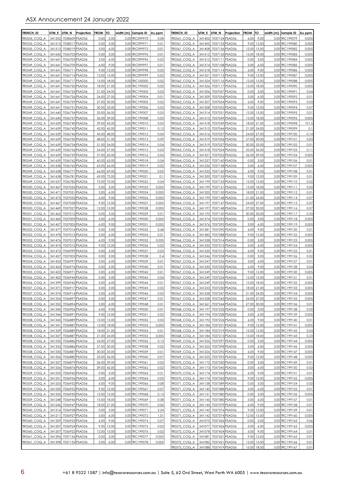| <b>TRENCH ID</b>             | UTM E            | UTM N                                   | Projection | <b>FROM</b>    | TO             | width (m) Sample ID |                                  | Au ppm         | <b>TRENCH ID</b>                   | UTM E            | UTM N                                   | Projection | <b>FROM</b>    | TO             | width (m)  Sample ID             | Au ppm         |
|------------------------------|------------------|-----------------------------------------|------------|----------------|----------------|---------------------|----------------------------------|----------------|------------------------------------|------------------|-----------------------------------------|------------|----------------|----------------|----------------------------------|----------------|
| TR0534_COQ A                 | 341552           | 7038609 PSAD56                          |            | 0.00           | 2.00           |                     | 2.00 TRC099970                   | 0.08           | TR0561_COQ_A                       | 341402           | 7037134 PSAD56                          |            | 6.00           | 9.00           | 3.00 TRC199079                   | 0.005          |
| TR0535 COQ A                 | 341515           | 7038517 PSAD56                          |            | 0.00           | 3.00           |                     | 3.00 TRC099971                   | 0.01           | TR0561 COQ A                       | 341405           | 7037133 PSAD56                          |            | 9.00           | 12.00          | 3.00 TRC199080                   | 0.005          |
| TR0535 COQ A                 | 341513           | 7038519 PSAD56                          |            | 3.00           | 6.00           |                     | 3.00 TRC099972                   | 0.01           | TR0561 COQ A                       | 341408           | 7037136 PSAD56                          |            | 12.00          | 15.00          | 3.00 TRC199082                   | 0.005          |
| TR0549 COQ A                 | 341642           | 7036703 PSAD56                          |            | 0.00           | 3.00           |                     | 3.00 TRC099995                   | 0.01           | TR0561 COQ A                       | 341412           | 7037135 PSAD56                          |            | 15.00          | 18.00          | 3.00 TRC199083                   | 0.005          |
| TR0549 COQ A                 | 341641           | 7036705 PSAD56                          |            | 3.00           | 6.00           |                     | 3.00 TRC099996                   | 0.02           | TR0562 COQ A                       | 341312           | 7037111 PSAD56                          |            | 0.00           | 3.00           | 3.00 TRC199084                   | 0.005          |
| TR0549 COQ A                 | 341641           | 7036709 PSAD56                          |            | 6.00           | 9.00           |                     | 3.00 TRC099997                   | 0.01           | TR0562 COQ A                       | 341314           | 7037108 PSAD56                          |            | 3.00           | 6.00           | 3.00 TRC199085                   | 0.005          |
| TR0549 COQ A<br>TR0549 COQ A | 341641<br>341641 | 7036711 PSAD56<br>7036714 PSAD56        |            | 9.00<br>12.00  | 12.00<br>15.00 |                     | 3.00 TRC099998<br>3.00 TRC099999 | 0.05<br>0.02   | TR0562 COQ A<br>TR0562 COQ A       | 341318<br>341321 | 7037114 PSAD56<br>7037115 PSAD56        |            | 6.00<br>9.00   | 9.00<br>12.00  | 3.00 TRC199086<br>3.00 TRC199087 | 0.005<br>0.005 |
| TR0549_COQ_A                 | 341641           | 7036717 PSAD56                          |            | 15.00          | 18.00          |                     | 3.00 TRC100000                   | 0.02           | TR0562_COQ_A                       | 341324           | 7037116 PSAD56                          |            | 12.00          | 15.00          | 3.00 TRC199088                   | 0.005          |
| TR0549 COQ A                 | 341641           | 7036720 PSAD56                          |            | 18.00          | 21.00          |                     | 3.00 TRC199002                   | 0.02           | TR0562_COQ_A                       | 341326           | 7037117 PSAD56                          |            | 15.00          | 18.00          | 3.00 TRC199090                   | 0.005          |
| TR0549 COQ A                 | 341641           | 7036723 PSAD56                          |            | 21.00          | 24.00          |                     | 3.00 TRC199003                   | 0.03           | TR0563 COQ A                       | 341306           | 7037057 PSAD56                          |            | 0.00           | 3.00           | 3.00 TRC199091                   | 0.04           |
| TR0549 COQ A                 | 341641           | 7036726 PSAD56                          |            | 24.00          | 27.00          |                     | 3.00 TRC199004                   | 0.01           | TR0563 COQ A                       | 341309           | 7037056 PSAD56                          |            | 3.00           | 6.00           | 3.00 TRC199092                   | 0.01           |
| TR0549 COQ A                 | 341641           | 7036729 PSAD56                          |            | 27.00          | 30.00          |                     | 3.00 TRC199005                   | 0.02           | TR0563 COQ A                       | 341307           | 7037054 PSAD56                          |            | 6.00           | 9.00           | 3.00 TRC199093                   | 0.03           |
| TR0549 COQ A                 | 341641           | 7036731 PSAD56                          |            | 30.00          | 33.00          |                     | 3.00 TRC199006                   | 0.03           | TR0563_COQ_A                       | 341308           | 7037052 PSAD56                          |            | 9.00           | 12.00          | 3.00 TRC199094                   | 0.07           |
| TR0549 COQ A                 | 341640           | 7036734 PSAD56                          |            | 33.00          | 36.00          |                     | 3.00 TRC199007                   | 0.05           | TR0563 COQ A                       | 341314           | 7037051 PSAD56                          |            | 12.00          | 15.00          | 3.00 TRC199095                   | 0.01           |
| TR0549_COQ_A<br>TR0549 COQ A | 341640<br>341639 | 7036737 PSAD56<br>7036740 PSAD56        |            | 36.00<br>39.00 | 39.00<br>42.00 |                     | 3.00 TRC199008<br>3.00 TRC199010 | 0.03<br>0.03   | TR0563_COQ_A<br>TR0563 COQ A       | 341315<br>341318 | 7037049 PSAD56<br>7037049 PSAD56        |            | 15.00<br>18.00 | 18.00<br>21.00 | 3.00 TRC199096<br>3.00 TRC199098 | 0.005<br>101.5 |
| TR0549 COQ A                 | 341639           | 7036742 PSAD56                          |            | 42.00          | 45.00          |                     | 3.00 TRC199011                   | 0.12           | TR0563 COQ A                       | 341315           | 7037044 PSAD56                          |            | 21.00          | 24.00          | 3.00 TRC199099                   | 0.1            |
| TR0549 COQ A                 | 341639           | 7036746 PSAD56                          |            | 45.00          | 48.00          |                     | 3.00 TRC199012                   | 0.04           | TR0563 COQ A                       | 341316           | 7037037 PSAD56                          |            | 24.00          | 27.00          | 3.00 TRC199100                   | 0.14           |
| TR0549 COQ A                 | 341639           | 7036750 PSAD56                          |            | 48.00          | 51.00          |                     | 3.00 TRC199013                   | 0.09           | TR0563 COQ A                       | 341319           | 7037036 PSAD56                          |            | 27.00          | 30.00          | 3.00 TRC199101                   | 0.03           |
| TR0549 COQ A                 | 341639           | 7036754 PSAD56                          |            | 51.00          | 54.00          |                     | 3.00 TRC199014                   | 0.04           | TR0563 COQ A                       | 341319           | 7037027 PSAD56                          |            | 30.00          | 33.00          | 3.00 TRC199102                   | 0.01           |
| TR0549 COQ A                 | 341639           | 7036756 PSAD56                          |            | 54.00          | 57.00          |                     | 3.00 TRC199015                   | 0.03           | TR0563 COQ A                       | 341318           | 7037024 PSAD56                          |            | 33.00          | 36.00          | 3.00 TRC199103                   | 0.11           |
| TR0549_COQ_A                 | 341639           | 7036759 PSAD56                          |            | 57.00          | 60.00          |                     | 3.00 TRC199016                   | 0.06           | TR0563_COQ_A                       | 341321           | 7037022 PSAD56                          |            | 36.00          | 39.00          | 3.00 TRC199104                   | 0.005          |
| TR0549 COQ A                 | 341639           | 7036762 PSAD56                          |            | 60.00          | 63.00          |                     | 3.00 TRC199018                   | 0.04           | TR0564 COQ A                       | 341237           | 7037160 PSAD56                          |            | 0.00           | 3.00           | 3.00 TRC199106                   | 0.01           |
| TR0549 COQ A                 | 341638           | 7036765 PSAD56                          |            | 63.00          | 66.00          |                     | 3.00 TRC199019                   | 0.02           | TR0564_COQ_A                       | 341236           | 7037158 PSAD56                          |            | 3.00           | 6.00           | 3.00 TRC199107                   | 0.005          |
| TR0549 COQ A<br>TR0549 COQ A | 341638<br>341638 | 7036777 PSAD56<br>7036781 PSAD56        |            | 66.00<br>69.00 | 69.00<br>72.00 |                     | 3.00 TRC199020<br>3.00 TRC199021 | 0.02<br>0.1    | TR0564 COQ A<br>TR0564 COQ A       | 341233<br>341200 | 7037160 PSAD56<br>7037155 PSAD56        |            | 6.00<br>9.00   | 9.00<br>12.00  | 3.00 TRC199108<br>3.00 TRC199109 | 0.01<br>0.01   |
| TR0549 COQ A                 | 341637           | 7036782 PSAD56                          |            | 72.00          | 75.00          |                     | 3.00 TRC199022                   | 0.04           | TR0564 COQ A                       | 341199           | 7037153 PSAD56                          |            | 12.00          | 15.00          | 3.00 TRC199110                   | 0.02           |
| TR0550 COQ A                 | 341467           | 7037036 PSAD56                          |            | 0.00           | 3.00           |                     | 3.00 TRC199023                   | 0.005          | TR0564_COQ_A                       | 341199           | 7037151 PSAD56                          |            | 15.00          | 18.00          | 3.00 TRC199111                   | 0.02           |
| TR0550 COQ A                 | 341471           | 7037031 PSAD56                          |            | 3.00           | 6.00           |                     | 3.00 TRC199024                   | 0.005          | TR0564 COQ A                       | 341200           | 7037150 PSAD56                          |            | 18.00          | 21.00          | 3.00 TRC199112                   | 0.01           |
| TR0550 COQ A                 | 341473           | 7037033 PSAD56                          |            | 6.00           | 9.00           |                     | 3.00 TRC199026                   | 0.005          | TR0564 COQ A                       | 341199           | 7037148 PSAD56                          |            | 21.00          | 24.00          | 3.00 TRC199114                   | 0.07           |
| TR0550 COQ A                 | 341467           | 7037028 PSAD56                          |            | 9.00           | 12.00          |                     | 3.00 TRC199027                   | 0.005          | TR0564 COQ A                       | 341197           | 7037147 PSAD56                          |            | 24.00          | 27.00          | 3.00 TRC199115                   | 0.07           |
| TR0550 COQ A                 | 341469           | 7037027 PSAD56                          |            | 12.00          | 15.00          |                     | 3.00 TRC199028                   | 0.005          | TR0564 COQ A                       | 341197           | 7037148 PSAD56                          |            | 27.00          | 30.00          | 3.00 TRC199116                   | 0.07           |
| TR0551 COQ A                 | 341463           | 7037012 PSAD56                          |            | 0.00           | 3.00           |                     | 3.00 TRC199029                   | 0.01           | TR0564 COQ A                       | 341195           | 7037150 PSAD56                          |            | 30.00          | 33.00          | 3.00 TRC199117                   | 0.33           |
| TR0551 COQ A<br>TR0551 COQ A | 341460<br>341457 | 7037009 PSAD56<br>7037005 PSAD56        |            | 3.00<br>6.00   | 6.00<br>9.00   |                     | 3.00 TRC199030<br>3.00 TRC199031 | 0.005<br>0.005 | TR0565 COQ A<br>TR0565_COQ_A       | 341374<br>341376 | 7037292 PSAD56<br>7037392 PSAD56        |            | 0.00<br>3.00   | 3.00<br>6.00   | 3.00 TRC199118<br>3.00 TRC199119 | 0.005<br>0.005 |
| TR0552_COQ_A                 | 341477           | 7037014 PSAD56                          |            | 0.00           | 3.00           |                     | 3.00 TRC199032                   | 0.68           | TR0565_COQ_A                       | 341381           | 7037290 PSAD56                          |            | 6.00           | 9.00           | 3.00 TRC199120                   | 0.01           |
| TR0552 COQ A                 | 341478           | 7037013 PSAD56                          |            | 3.00           | 6.00           |                     | 3.00 TRC199034                   | 0.01           | TR0565 COQ A                       | 341382           | 7037288 PSAD56                          |            | 9.00           | 12.00          | 3.00 TRC199122                   | 0.005          |
| TR0552 COQ A                 | 341476           | 7037013 PSAD56                          |            | 6.OC           | 9.00           |                     | 3.00 TRC199035                   | 0.005          | TR0566_COQ_A                       | 341338           | 7037314 PSAD56                          |            | 0.00           | 3.00           | 3.00 TRC199123                   | 0.005          |
| TR0552 COQ A                 | 341474           | 7037012 PSAD56                          |            | 9.00           | 12.00          |                     | 3.00 TRC199036                   | 0.03           | TR0566 COQ A                       | 341335           | 7037315 PSAD56                          |            | 3.00           | 6.00           | 3.00 TRC199124                   | 0.005          |
| TR0553 COQ A                 | 341472           | 7036999 PSAD56                          |            | 0.00           | 3.00           |                     | 3.00 TRC199037                   | 0.03           | TR0566 COQ A                       | 341335           | 7037312 PSAD56                          |            | 6.00           | 9.00           | 3.00 TRC199125                   | 0.01           |
| TR0554 COQ A                 | 341457           | 7037002 PSAD56                          |            | 0.00           | 3.00           |                     | 3.00 TRC199038                   | 0.4            | TR0567 COQ A                       | 341246           | 7037258 PSAD56                          |            | 0.00           | 3.00           | 3.00 TRC199126                   | 0.02           |
| TR0554 COQ A                 | 341453           | 7036997 PSAD56                          |            | 3.00           | 6.00           |                     | 3.00 TRC199039                   | 0.01           | TR0567 COQ A                       | 341247           | 7037256 PSAD56                          |            | 3.00           | 6.00           | 3.00 TRC199127                   | 0.01           |
| TR0555_COQ_A<br>TR0555 COQ A | 341424<br>341423 | 7036976 PSAD56<br>7036971 PSAD56        |            | 0.00<br>3.00   | 3.00<br>6.00   |                     | 3.00 TRC199040<br>3.00 TRC199042 | 0.01<br>0.01   | TR0567_COQ_A<br>TR0567 COQ A       | 341250<br>341249 | 7037255 PSAD56<br>7037253 PSAD56        |            | 6.00<br>9.00   | 9.00<br>12.00  | 3.00 TRC199128<br>3.00 TRC199130 | 0.04<br>0.005  |
| TR0556 COQ A                 | 341402           | 7036944 PSAD56                          |            | 0.00           | 3.00           |                     | 3.00 TRC199043                   | 0.04           | TR0567 COQ A                       | 341249           | 7037254 PSAD56                          |            | 12.00          | 15.00          | 3.00 TRC199131                   | 0.01           |
| TR0556 COQ A                 | 341399           | 7036942 PSAD56                          |            | 3.00           | 6.00           |                     | 3.00 TRC199044                   | 0.01           | TR0567 COQ A                       | 341249           | 7037252 PSAD56                          |            | 15.00          | 18.00          | 3.00 TRC199132                   | 0.005          |
| TR0557_COQ_A                 |                  | 341371 7036917 PSAD56                   |            | 0.00           | 3.00           |                     | 3.00 TRC199045                   | 0.02           | TR0567_COQ_A                       |                  | 341253 7037250 PSAD56                   |            |                | 18.00 21.00    | 3.00 TRC199133                   | 0.005          |
| TR0557_COQ_A                 |                  | 341374 7036914 PSAD56                   |            | 3.00           | 6.00           |                     | 3.00 TRC199046                   | 0.03           | TR0567_COQ_A                       |                  | 341258 7037247 PSAD56                   |            |                | 21.00 24.00    | 3.00 TRC199134                   | 0.005          |
| TR0558_COQ_A                 |                  | 341354 7036897 PSAD56                   |            | 0.00           | 3.00           |                     | 3.00 TRC199047                   | 0.01           | TR0567 COQ A                       |                  | 341258 7037245 PSAD56                   |            | 24.00          | 27.00          | 3.00 TRC199135                   | 0.005          |
| TR0558_COQ_A                 |                  | 341352 7036894 PSAD56                   |            | 3.00           | 6.00           |                     | 3.00 TRC199048                   | 0.01           | TR0567_COQ_A                       |                  | 341261 7037244 PSAD56                   |            | 27.00          | 30.00          | 3.00 TRC199136                   | 0.01           |
| TR0558_COQ_A                 | 341345           | 7036906 PSAD56                          |            | 6.00           | 9.00           |                     | 3.00 TRC199050                   | 0.01           | TR0568_COQ_A                       |                  | 341197 7037232 PSAD56                   |            | 0.00           | 3.00           | 3.00 TRC199138                   | 0.02           |
| TR0558_COQ_A<br>TR0558_COQ_A | 341346<br>341345 | 7036891 PSAD56<br>7036889 PSAD56        |            | 9.00<br>12.00  | 12.00<br>15.00 |                     | 3.00 TRC199051<br>3.00 TRC199052 | 0.02<br>0.02   | TR0568_COQ_A<br>TR0568_COQ_A       | 341192           | 341194 7037228 PSAD56<br>7037226 PSAD56 |            | 3.00<br>6.00   | 6.00<br>9.00   | 3.00 TRC199139<br>3.00 TRC199140 | 0.005<br>0.01  |
| TR0558_COQ_A                 | 341341           | 7036887 PSAD56                          |            | 15.00          | 18.00          |                     | 3.00 TRC199053                   | 0.005          | TR0568_COQ_A                       | 341184           | 7037221 PSAD56                          |            | 9.00           | 12.00          | 3.00 TRC199141                   | 0.005          |
| TR0558_COQ_A                 | 341339           | 7036889 PSAD56                          |            | 18.00          | 21.00          |                     | 3.00 TRC199054                   | 0.01           | TR0568_COQ_A                       | 341184           | 7037219 PSAD56                          |            | 12.00          | 15.00          | 3.00 TRC199142                   | 0.03           |
| TR0558_COQ_A                 |                  | 341337 7036887 PSAD56                   |            | 21.00          | 24.00          |                     | 3.00 TRC199055                   | 0.005          | TR0568_COQ_A                       |                  | 341184 7037215 PSAD56                   |            | 15.00          | 18.00          | 3.00 TRC199143                   | 0.23           |
| TR0558_COQ_A                 |                  | 341335 7036886 PSAD56                   |            | 24.00          | 27.00          |                     | 3.00 TRC199056                   | 0.13           | TR0569_COQ_A                       | 341226           | 7037297 PSAD56                          |            | 0.00           | 3.00           | 3.00 TRC199144                   | 0.005          |
| TR0558_COQ_A                 | 341333           | 7036886 PSAD56                          |            | 27.00          | 30.00          |                     | 3.00 TRC199058                   | 0.02           | TR0569_COQ_A                       | 341225           | 7037298 PSAD56                          |            | 3.00           | 6.00           | 3.00 TRC199146                   | 0.005          |
| TR0558_COQ_A                 |                  | 341330 7036887 PSAD56                   |            | 30.00          | 33.00          |                     | 3.00 TRC199059                   | 0.01           | TR0569_COQ_A                       | 341226           | 7037292 PSAD56                          |            | 6.00           | 9.00           | 3.00 TRC199147                   | 0.005          |
| TR0558_COQ_A                 | 341326           | 7036880 PSAD56                          |            | 33.00          | 36.00          |                     | 3.00 TRC199060<br>3.00 TRC199061 | 0.07           | TR0569_COQ_A                       | 341225           | 7037293 PSAD56                          |            | 9.00           | 12.00          | 3.00 TRC199148<br>3.00 TRC199149 | 0.005          |
| TR0558_COQ_A<br>TR0558_COQ_A | 341326           | 341327 7036879 PSAD56<br>7036876 PSAD56 |            | 36.00<br>39.00 | 39.00<br>42.00 |                     | 3.00 TRC199062                   | 0.03<br>0.02   | TR0570_COQ_A<br>TR0570_COQ_A       | 341173           | 341172 7037350 PSAD56<br>7037345 PSAD56 |            | 0.00<br>3.00   | 3.00<br>6.00   | 3.00 TRC199150                   | 0.01<br>0.02   |
| TR0559_COQ_A                 |                  | 341255 7036960 PSAD56                   |            | 0.00           | 3.00           |                     | 3.00 TRC199063                   | 0.21           | TR0570_COQ_A                       |                  | 341174 7037343 PSAD56                   |            | 6.00           | 9.00           | 3.00 TRC199151                   | 0.01           |
| TR0559_COQ_A                 | 341251           | 7036956 PSAD56                          |            | 3.00           | 6.00           |                     | 3.00 TRC199064                   | 0.05           | TR0570_COQ_A                       |                  | 341174 7037342 PSAD56                   |            | 9.00           | 12.00          | 3.00 TRC199152                   | 0.005          |
| TR0559_COQ_A                 | 341253           | 7036952 PSAD56                          |            | 6.00           | 9.00           |                     | 3.00 TRC199066                   | 0.08           | TR0571_COQ_A                       |                  | 341138 7037389 PSAD56                   |            | 0.00           | 3.00           | 3.00 TRC199154                   | 0.02           |
| TR0559_COQ_A                 |                  | 341250 7036952 PSAD56                   |            | 9.00           | 12.00          |                     | 3.00 TRC199067                   | 0.07           | TR0571_COQ_A                       | 341140           | 7037388 PSAD56                          |            | 3.00           | 6.00           | 3.00 TRC199155                   | 0.01           |
| TR0559_COQ_A                 | 341250           | 7036950 PSAD56                          |            | 12.00          | 15.00          |                     | 3.00 TRC199068                   | 0.13           | TR0571_COQ_A                       | 341151           | 7037380 PSAD56                          |            | 0.00           | 3.00           | 3.00 TRC199156                   | 0.005          |
| TR0559_COQ_A                 | 341248           | 7036946 PSAD56                          |            | 15.00          | 18.00          |                     | 3.00 TRC199069                   | 0.08           | TR0571_COQ_A                       | 341145           | 7037380 PSAD56                          |            | 3.00           | 6.00           | 3.00 TRC199157                   | 0.01           |
| TR0559_COQ_A                 | 341246           | 7036947 PSAD56                          |            | 18.00          | 21.00          |                     | 3.00 TRC199070<br>3.00 TRC199071 | 0.06           | TR0571_COQ_A                       | 341144           | 7037379 PSAD56                          |            | 6.00           | 9.00           | 3.00 TRC199158<br>3.00 TRC199159 | 0.01           |
| TR0560_COQ_A<br>TR0560_COQ_A | 341216           | 7036928 PSAD56<br>341211 7036927 PSAD56 |            | 0.00<br>3.00   | 3.00<br>6.00   |                     | 3.00 TRC199072                   | 2.24<br>1.01   | TR0571_COQ_A<br>TR0571_COQ_A       | 341142           | 7037376 PSAD56<br>341142 7037374 PSAD56 |            | 9.00<br>12.00  | 12.00<br>15.00 | 3.00 TRC199160                   | 0.01<br>0.005  |
| TR0560_COQ_A                 |                  | 341209 7036925 PSAD56                   |            | 6.00           | 9.00           |                     | 3.00 TRC199074                   | 0.07           | TR0572_COQ_A                       | 341075           | 7037426 PSAD56                          |            | 0.00           | 3.00           | 3.00 TRC199162                   | 0.06           |
| TR0560_COQ_A                 | 341207           | 7036924 PSAD56                          |            | 9.00           | 12.00          |                     | 3.00 TRC199075                   | 0.03           | TR0572_COQ_A                       | 341077           | 7037426 PSAD56                          |            | 3.00           | 6.00           | 3.00 TRC199163                   | 0.005          |
| TR0560_COQ_A                 | 341207           | 7036922 PSAD56                          |            | 12.00          | 15.00          |                     | 3.00 TRC199076                   | 0.02           | TR0572_COQ_A                       | 341078           | 7037424 PSAD56                          |            | 6.00           | 9.00           | 3.00 TRC199164                   | 0.01           |
| TR0561_COQ_A                 | 341396           | 7037136 PSAD56                          |            | 0.00           | 3.00           |                     | 3.00 TRC199077                   | 0.005          | TR0572_COQ_A                       | 341081           | 7037421 PSAD56                          |            | 9.00           | 12.00          | 3.00 TRC199165                   | 0.01           |
| TR0561_COQ_A                 |                  | 341398 7037135 PSAD56                   |            | 3.00           | 6.00           |                     | 3.00 TRC199078                   | 0.005          | TR0572_COQ_A                       |                  | 341082 7037421 PSAD56                   |            | 12.00          | 15.00          | 3.00 TRC199166                   | 0.01           |
|                              |                  |                                         |            |                |                |                     |                                  |                | TR0572 COQ A 341088 7037419 PSAD56 |                  |                                         |            |                | 15.00 18.00    | 3.00 TRC199167                   | 0.01           |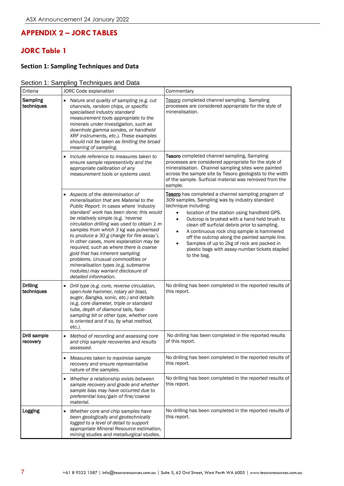## **APPENDIX 2 – JORC TABLES**

# **JORC Table 1**

### **Section 1: Sampling Techniques and Data**

### Section 1: Sampling Techniques and Data

| Criteria                      | <b>JORC Code explanation</b>                                                                                                                                                                                                                                                                                                                                                                                                                                                                                                                                                                                          | Commentary                                                                                                                                                                                                                                                                                                                                                                                                                                                                                                                        |  |  |  |  |
|-------------------------------|-----------------------------------------------------------------------------------------------------------------------------------------------------------------------------------------------------------------------------------------------------------------------------------------------------------------------------------------------------------------------------------------------------------------------------------------------------------------------------------------------------------------------------------------------------------------------------------------------------------------------|-----------------------------------------------------------------------------------------------------------------------------------------------------------------------------------------------------------------------------------------------------------------------------------------------------------------------------------------------------------------------------------------------------------------------------------------------------------------------------------------------------------------------------------|--|--|--|--|
| Sampling<br>techniques        | Nature and quality of sampling (e.g. cut<br>channels, random chips, or specific<br>specialised industry standard<br>measurement tools appropriate to the<br>minerals under investigation, such as<br>downhole gamma sondes, or handheld<br>XRF instruments, etc.). These examples<br>should not be taken as limiting the broad<br>meaning of sampling.                                                                                                                                                                                                                                                                | Tesoro completed channel sampling. Sampling<br>processes are considered appropriate for the style of<br>mineralisation.                                                                                                                                                                                                                                                                                                                                                                                                           |  |  |  |  |
|                               | Include reference to measures taken to<br>ensure sample representivity and the<br>appropriate calibration of any<br>measurement tools or systems used.                                                                                                                                                                                                                                                                                                                                                                                                                                                                | Tesoro completed channel sampling, Sampling<br>processes are considered appropriate for the style of<br>mineralisation. Channel sampling sites were painted<br>across the sample site by Tesoro geologists to the width<br>of the sample. Surficial material was removed from the<br>sample.                                                                                                                                                                                                                                      |  |  |  |  |
|                               | • Aspects of the determination of<br>mineralisation that are Material to the<br>Public Report. In cases where 'industry<br>standard' work has been done; this would<br>be relatively simple (e.g. 'reverse<br>circulation drilling was used to obtain 1 m<br>samples from which 3 kg was pulverised<br>to produce a 30 g charge for fire assay').<br>In other cases, more explanation may be<br>required, such as where there is coarse<br>gold that has inherent sampling<br>problems. Unusual commodities or<br>mineralisation types (e.g. submarine<br>nodules) may warrant disclosure of<br>detailed information. | Tesoro has completed a channel sampling program of<br>309 samples. Sampling was by industry standard<br>technique including:<br>location of the station using handheld GPS.<br>$\bullet$<br>Outcrop is brushed with a hand held brush to<br>clean off surficial debris prior to sampling.<br>A continuous rock chip sample is hammered<br>$\bullet$<br>off the outcrop along the painted sample line.<br>Samples of up to 2kg of rock are packed in<br>$\bullet$<br>plastic bags with assay-number tickets stapled<br>to the bag. |  |  |  |  |
| <b>Drilling</b><br>techniques | Drill type (e.g. core, reverse circulation,<br>$\bullet$<br>open-hole hammer, rotary air blast,<br>auger, Bangka, sonic, etc.) and details<br>(e.g. core diameter, triple or standard<br>tube, depth of diamond tails, face-<br>sampling bit or other type, whether core<br>is oriented and if so, by what method,<br>etc.).                                                                                                                                                                                                                                                                                          | No drilling has been completed in the reported results of<br>this report.                                                                                                                                                                                                                                                                                                                                                                                                                                                         |  |  |  |  |
| Drill sample<br>recovery      | Method of recording and assessing core<br>and chip sample recoveries and results<br>assessed.                                                                                                                                                                                                                                                                                                                                                                                                                                                                                                                         | No drilling has been completed in the reported results<br>of this report.                                                                                                                                                                                                                                                                                                                                                                                                                                                         |  |  |  |  |
|                               | Measures taken to maximise sample<br>recovery and ensure representative<br>nature of the samples.                                                                                                                                                                                                                                                                                                                                                                                                                                                                                                                     | No drilling has been completed in the reported results of<br>this report.                                                                                                                                                                                                                                                                                                                                                                                                                                                         |  |  |  |  |
|                               | Whether a relationship exists between<br>٠<br>sample recovery and grade and whether<br>sample bias may have occurred due to<br>preferential loss/gain of fine/coarse<br>material.                                                                                                                                                                                                                                                                                                                                                                                                                                     | No drilling has been completed in the reported results of<br>this report.                                                                                                                                                                                                                                                                                                                                                                                                                                                         |  |  |  |  |
| Logging                       | Whether core and chip samples have<br>$\bullet$<br>been geologically and geotechnically<br>logged to a level of detail to support<br>appropriate Mineral Resource estimation,<br>mining studies and metallurgical studies.                                                                                                                                                                                                                                                                                                                                                                                            | No drilling has been completed in the reported results of<br>this report.                                                                                                                                                                                                                                                                                                                                                                                                                                                         |  |  |  |  |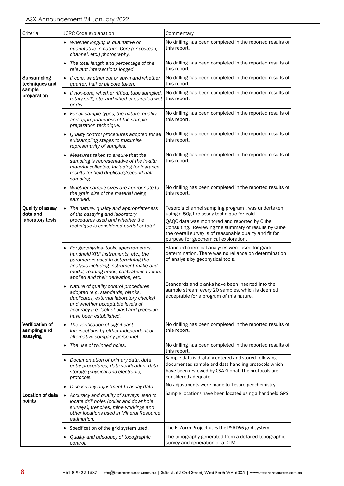| Criteria                                         | <b>JORC Code explanation</b>                                                                                                                                                                                                                     | Commentary                                                                                                                                                                                                                                                                                                 |  |  |  |  |
|--------------------------------------------------|--------------------------------------------------------------------------------------------------------------------------------------------------------------------------------------------------------------------------------------------------|------------------------------------------------------------------------------------------------------------------------------------------------------------------------------------------------------------------------------------------------------------------------------------------------------------|--|--|--|--|
|                                                  | Whether logging is qualitative or<br>$\bullet$<br>quantitative in nature. Core (or costean,<br>channel, etc.) photography.                                                                                                                       | No drilling has been completed in the reported results of<br>this report.                                                                                                                                                                                                                                  |  |  |  |  |
|                                                  | The total length and percentage of the<br>relevant intersections logged.                                                                                                                                                                         | No drilling has been completed in the reported results of<br>this report.                                                                                                                                                                                                                                  |  |  |  |  |
| Subsampling<br>techniques and                    | • If core, whether cut or sawn and whether<br>quarter, half or all core taken.                                                                                                                                                                   | No drilling has been completed in the reported results of<br>this report.                                                                                                                                                                                                                                  |  |  |  |  |
| sample<br>preparation                            | If non-core, whether riffled, tube sampled,<br>rotary split, etc. and whether sampled wet<br>or dry.                                                                                                                                             | No drilling has been completed in the reported results of<br>this report.                                                                                                                                                                                                                                  |  |  |  |  |
|                                                  | For all sample types, the nature, quality<br>and appropriateness of the sample<br>preparation technique.                                                                                                                                         | No drilling has been completed in the reported results of<br>this report.                                                                                                                                                                                                                                  |  |  |  |  |
|                                                  | Quality control procedures adopted for all<br>subsampling stages to maximise<br>representivity of samples.                                                                                                                                       | No drilling has been completed in the reported results of<br>this report.                                                                                                                                                                                                                                  |  |  |  |  |
|                                                  | Measures taken to ensure that the<br>sampling is representative of the in-situ<br>material collected, including for instance<br>results for field duplicate/second-half<br>sampling.                                                             | No drilling has been completed in the reported results of<br>this report.                                                                                                                                                                                                                                  |  |  |  |  |
|                                                  | Whether sample sizes are appropriate to<br>the grain size of the material being<br>sampled.                                                                                                                                                      | No drilling has been completed in the reported results of<br>this report.                                                                                                                                                                                                                                  |  |  |  |  |
| Quality of assay<br>data and<br>laboratory tests | The nature, quality and appropriateness<br>$\bullet$<br>of the assaying and laboratory<br>procedures used and whether the<br>technique is considered partial or total.                                                                           | Tesoro's channel sampling program, was undertaken<br>using a 50g fire assay technique for gold.<br>QAQC data was monitored and reported by Cube<br>Consulting. Reviewing the summary of results by Cube<br>the overall survey is of reasonable quality and fit for<br>purpose for geochemical exploration. |  |  |  |  |
|                                                  | For geophysical tools, spectrometers,<br>handheld XRF instruments, etc., the<br>parameters used in determining the<br>analysis including instrument make and<br>model, reading times, calibrations factors<br>applied and their derivation, etc. | Standard chemical analyses were used for grade<br>determination. There was no reliance on determination<br>of analysis by geophysical tools.                                                                                                                                                               |  |  |  |  |
|                                                  | Nature of quality control procedures<br>adopted (e.g. standards, blanks,<br>duplicates, external laboratory checks)<br>and whether acceptable levels of<br>accuracy (i.e. lack of bias) and precision<br>have been established.                  | Standards and blanks have been inserted into the<br>sample stream every 20 samples, which is deemed<br>acceptable for a program of this nature.                                                                                                                                                            |  |  |  |  |
| Verification of<br>sampling and<br>assaying      | The verification of significant<br>$\bullet$<br>intersections by either independent or<br>alternative company personnel.                                                                                                                         | No drilling has been completed in the reported results of<br>this report.                                                                                                                                                                                                                                  |  |  |  |  |
|                                                  | The use of twinned holes.                                                                                                                                                                                                                        | No drilling has been completed in the reported results of<br>this report.                                                                                                                                                                                                                                  |  |  |  |  |
|                                                  | Documentation of primary data, data<br>٠<br>entry procedures, data verification, data<br>storage (physical and electronic)<br>protocols.                                                                                                         | Sample data is digitally entered and stored following<br>documented sample and data handling protocols which<br>have been reviewed by CSA Global. The protocols are<br>considered adequate.                                                                                                                |  |  |  |  |
|                                                  | Discuss any adjustment to assay data.                                                                                                                                                                                                            | No adjustments were made to Tesoro geochemistry                                                                                                                                                                                                                                                            |  |  |  |  |
| Location of data<br>points                       | • Accuracy and quality of surveys used to<br>locate drill holes (collar and downhole<br>surveys), trenches, mine workings and<br>other locations used in Mineral Resource<br>estimation.                                                         | Sample locations have been located using a handheld GPS                                                                                                                                                                                                                                                    |  |  |  |  |
|                                                  | Specification of the grid system used.                                                                                                                                                                                                           | The El Zorro Project uses the PSAD56 grid system                                                                                                                                                                                                                                                           |  |  |  |  |
|                                                  | Quality and adequacy of topographic<br>control.                                                                                                                                                                                                  | The topography generated from a detailed topographic<br>survey and generation of a DTM                                                                                                                                                                                                                     |  |  |  |  |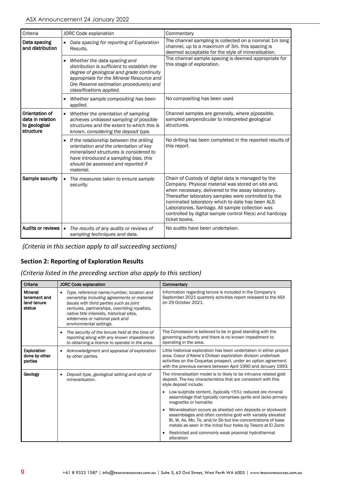| Criteria                                                         | JORC Code explanation                                                                                                                                                                                                                       | Commentary                                                                                                                                                                                                                                                                                                                                                                                                   |  |  |  |  |
|------------------------------------------------------------------|---------------------------------------------------------------------------------------------------------------------------------------------------------------------------------------------------------------------------------------------|--------------------------------------------------------------------------------------------------------------------------------------------------------------------------------------------------------------------------------------------------------------------------------------------------------------------------------------------------------------------------------------------------------------|--|--|--|--|
| Data spacing<br>and distribution                                 | • Data spacing for reporting of Exploration<br>Results.                                                                                                                                                                                     | The channel sampling is collected on a nominal 1m long<br>channel, up to a maximum of 3m. this spacing is<br>deemed acceptable for the style of mineralisation.                                                                                                                                                                                                                                              |  |  |  |  |
|                                                                  | Whether the data spacing and<br>distribution is sufficient to establish the<br>degree of geological and grade continuity<br>appropriate for the Mineral Resource and<br>Ore Reserve estimation procedure(s) and<br>classifications applied. | The channel sample spacing is deemed appropriate for<br>this stage of exploration.                                                                                                                                                                                                                                                                                                                           |  |  |  |  |
|                                                                  | Whether sample compositing has been<br>applied.                                                                                                                                                                                             | No compositing has been used                                                                                                                                                                                                                                                                                                                                                                                 |  |  |  |  |
| Orientation of<br>data in relation<br>to geological<br>structure | Whether the orientation of sampling<br>$\bullet$<br>achieves unbiased sampling of possible<br>structures and the extent to which this is<br>known, considering the deposit type.                                                            | Channel samples are generally, where p[possible,<br>sampled perpendicular to interpreted geological<br>structures.                                                                                                                                                                                                                                                                                           |  |  |  |  |
|                                                                  | • If the relationship between the drilling<br>orientation and the orientation of key<br>mineralised structures is considered to<br>have introduced a sampling bias, this<br>should be assessed and reported if<br>material.                 | No drilling has been completed in the reported results of<br>this report.                                                                                                                                                                                                                                                                                                                                    |  |  |  |  |
| Sample security                                                  | The measures taken to ensure sample<br>$\bullet$<br>security.                                                                                                                                                                               | Chain of Custody of digital data is managed by the<br>Company. Physical material was stored on site and,<br>when necessary, delivered to the assay laboratory.<br>Thereafter laboratory samples were controlled by the<br>nominated laboratory which to date has been ALS<br>Laboratories, Santiago. All sample collection was<br>controlled by digital sample control file(s) and hardcopy<br>ticket books. |  |  |  |  |
| Audits or reviews                                                | The results of any audits or reviews of<br>$\bullet$<br>sampling techniques and data.                                                                                                                                                       | No audits have been undertaken.                                                                                                                                                                                                                                                                                                                                                                              |  |  |  |  |

*(Criteria in this section apply to all succeeding sections)*

## **Section 2: Reporting of Exploration Results**

*(Criteria listed in the preceding section also apply to this section)*

| Criteria                                                | <b>JORC Code explanation</b>                                                                                                                                                                                                                                                                                | Commentary                                                                                                                                                                                                                                                             |  |  |  |  |  |
|---------------------------------------------------------|-------------------------------------------------------------------------------------------------------------------------------------------------------------------------------------------------------------------------------------------------------------------------------------------------------------|------------------------------------------------------------------------------------------------------------------------------------------------------------------------------------------------------------------------------------------------------------------------|--|--|--|--|--|
| <b>Mineral</b><br>tenement and<br>land tenure<br>status | Type, reference name/number, location and<br>$\bullet$<br>ownership including agreements or material<br>issues with third parties such as joint<br>ventures, partnerships, overriding royalties,<br>native title interests, historical sites,<br>wilderness or national park and<br>environmental settings. | Information regarding tenure is included in the Company's<br>September 2021 quarterly activities report released to the ASX<br>on 29 October 2021.                                                                                                                     |  |  |  |  |  |
|                                                         | The security of the tenure held at the time of<br>$\bullet$<br>reporting along with any known impediments<br>to obtaining a licence to operate in the area.                                                                                                                                                 | The Concession is believed to be in good standing with the<br>governing authority and there is no known impediment to<br>operating in the area.                                                                                                                        |  |  |  |  |  |
| <b>Exploration</b><br>done by other<br>parties          | Acknowledgment and appraisal of exploration<br>by other parties.                                                                                                                                                                                                                                            | Little historical exploration has been undertaken in either project<br>area. Coeur d'Alene's Chilean exploration division undertook<br>activities on the Coquetas prospect, under an option agreement<br>with the previous owners between April 1990 and January 1993. |  |  |  |  |  |
| Geology                                                 | Deposit type, geological setting and style of<br>$\bullet$<br>mineralisation.                                                                                                                                                                                                                               | The mineralisation model is to likely to be intrusive related gold<br>deposit. The key characteristics that are consistent with this<br>style deposit include:                                                                                                         |  |  |  |  |  |
|                                                         |                                                                                                                                                                                                                                                                                                             | Low sulphide content, (typically <5%); reduced ore mineral<br>$\bullet$<br>assemblage that typically comprises pyrite and lacks primary<br>magnetite or hematite                                                                                                       |  |  |  |  |  |
|                                                         |                                                                                                                                                                                                                                                                                                             | Mineralisation occurs as sheeted vein deposits or stockwork<br>assemblages and often combine gold with variably elevated<br>Bi, W, As, Mo, Te, and/or Sb but low concentrations of base<br>metals as seen in the initial four holes by Tesoro at El Zorro              |  |  |  |  |  |
|                                                         |                                                                                                                                                                                                                                                                                                             | Restricted and commonly weak proximal hydrothermal<br>alteration                                                                                                                                                                                                       |  |  |  |  |  |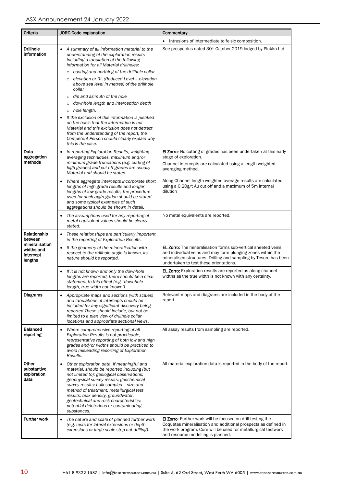| <b>Criteria</b>                                      | <b>JORC Code explanation</b>                                                                                                                                                                                                                                                                                                                                                                                                                                                                                                                                                                                                                                                                                                           | Commentary                                                                                                                                                                                                                                        |
|------------------------------------------------------|----------------------------------------------------------------------------------------------------------------------------------------------------------------------------------------------------------------------------------------------------------------------------------------------------------------------------------------------------------------------------------------------------------------------------------------------------------------------------------------------------------------------------------------------------------------------------------------------------------------------------------------------------------------------------------------------------------------------------------------|---------------------------------------------------------------------------------------------------------------------------------------------------------------------------------------------------------------------------------------------------|
|                                                      |                                                                                                                                                                                                                                                                                                                                                                                                                                                                                                                                                                                                                                                                                                                                        | Intrusions of intermediate to felsic composition.                                                                                                                                                                                                 |
| <b>Drillhole</b><br>information                      | A summary of all information material to the<br>understanding of the exploration results<br>including a tabulation of the following<br>information for all Material drillholes:<br>easting and northing of the drillhole collar<br>$\circ$<br>elevation or RL (Reduced Level - elevation<br>$\circ$<br>above sea level in metres) of the drillhole<br>collar<br>dip and azimuth of the hole<br>$\circ$<br>o downhole length and interception depth<br>o hole length.<br>If the exclusion of this information is justified<br>on the basis that the information is not<br>Material and this exclusion does not detract<br>from the understanding of the report, the<br>Competent Person should clearly explain why<br>this is the case. | See prospectus dated 30 <sup>th</sup> October 2019 lodged by Plukka Ltd                                                                                                                                                                           |
| Data<br>aggregation<br>methods                       | In reporting Exploration Results, weighting<br>٠<br>averaging techniques, maximum and/or<br>minimum grade truncations (e.g. cutting of<br>high grades) and cut-off grades are usually<br>Material and should be stated.                                                                                                                                                                                                                                                                                                                                                                                                                                                                                                                | <b>El Zorro:</b> No cutting of grades has been undertaken at this early<br>stage of exploration.<br>Channel intercepts are calculated using a length weighted<br>averaging method.                                                                |
|                                                      | Where aggregate intercepts incorporate short<br>lengths of high grade results and longer<br>lengths of low grade results, the procedure<br>used for such aggregation should be stated<br>and some typical examples of such<br>aggregations should be shown in detail.                                                                                                                                                                                                                                                                                                                                                                                                                                                                  | Along Channel length weighted average results are calculated<br>using a 0.20g/t Au cut off and a maximum of 5m internal<br>dilution                                                                                                               |
|                                                      | The assumptions used for any reporting of<br>metal equivalent values should be clearly<br>stated.                                                                                                                                                                                                                                                                                                                                                                                                                                                                                                                                                                                                                                      | No metal equivalents are reported.                                                                                                                                                                                                                |
| Relationship<br>between                              | These relationships are particularly important<br>٠<br>in the reporting of Exploration Results.                                                                                                                                                                                                                                                                                                                                                                                                                                                                                                                                                                                                                                        |                                                                                                                                                                                                                                                   |
| mineralisation<br>widths and<br>intercept<br>lengths | If the geometry of the mineralisation with<br>٠<br>respect to the drillhole angle is known, its<br>nature should be reported.                                                                                                                                                                                                                                                                                                                                                                                                                                                                                                                                                                                                          | <b>EL Zorro:</b> The mineralisation forms sub-vertical sheeted veins<br>and individual veins and may form plunging zones within the<br>mineralised structures. Drilling and sampling by Tesoro has been<br>undertaken to test these orientations. |
|                                                      | If it is not known and only the downhole<br>lengths are reported, there should be a clear<br>statement to this effect (e.g. 'downhole<br>length, true width not known').                                                                                                                                                                                                                                                                                                                                                                                                                                                                                                                                                               | <b>EL Zorro:</b> Exploration results are reported as along channel<br>widths as the true width is not known with any certainty.                                                                                                                   |
| <b>Diagrams</b>                                      | Appropriate maps and sections (with scales)<br>٠<br>and tabulations of intercepts should be<br>included for any significant discovery being<br>reported These should include, but not be<br>limited to a plan view of drillhole collar<br>locations and appropriate sectional views.                                                                                                                                                                                                                                                                                                                                                                                                                                                   | Relevant maps and diagrams are included in the body of the<br>report.                                                                                                                                                                             |
| Balanced<br>reporting                                | Where comprehensive reporting of all<br>٠<br>Exploration Results is not practicable,<br>representative reporting of both low and high<br>grades and/or widths should be practiced to<br>avoid misleading reporting of Exploration<br>Results.                                                                                                                                                                                                                                                                                                                                                                                                                                                                                          | All assay results from sampling are reported.                                                                                                                                                                                                     |
| Other<br>substantive<br>exploration<br>data          | Other exploration data, if meaningful and<br>٠<br>material, should be reported including (but<br>not limited to): geological observations;<br>geophysical survey results; geochemical<br>survey results; bulk samples - size and<br>method of treatment; metallurgical test<br>results; bulk density, groundwater,<br>geotechnical and rock characteristics;<br>potential deleterious or contaminating<br>substances.                                                                                                                                                                                                                                                                                                                  | All material exploration data is reported in the body of the report.                                                                                                                                                                              |
| <b>Further work</b>                                  | The nature and scale of planned further work<br>٠<br>(e.g. tests for lateral extensions or depth<br>extensions or large-scale step-out drilling).                                                                                                                                                                                                                                                                                                                                                                                                                                                                                                                                                                                      | <b>El Zorro:</b> Further work will be focused on drill testing the<br>Coquetas mineralisation and additional prospects as defined in<br>the work program. Core will be used for metallurgical testwork<br>and resource modelling is planned.      |